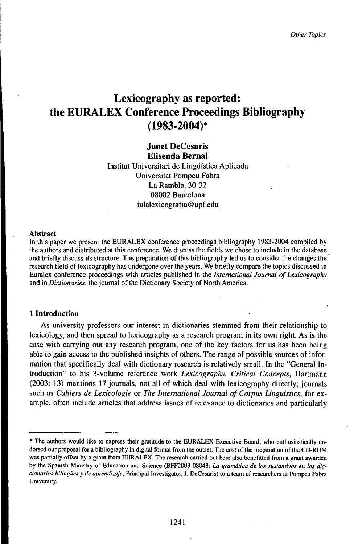# Lexicography as reported: the EURALEX Conference Proceedings Bibliography (1983-2004)\*

## Janet DeCesaris Elisenda BernaI

Institut Universitari de Lingüística Aplicada Universität Pompeu Fabra La Rambla, 30-32 08002 Barcelona iulalexicografia®upf.edu

#### Abstract

In this paper we present the EURALEX conference proceedings bibliography 1983-2004 compiled by the authors and distributed at this conference. We discuss the fields we chose to include in the database and briefly discuss its structure. The preparation of this bibliography led us to consider the changes the research field of lexicography has undergone over the years. We briefly compare the topics discussed in Euralex conference proceedings with articles published in the *International Journal ofLexicography* and in *Dictionaries*, the journal of the Dictionary Society of North America.

#### **1 Introduction**

As university professors our interest in dictionaries stemmed from their relationship to lexicology, and then spread to lexicography as a research program in its own right. As is the case with carrying out any research program, one of the key factors for us has been being able to gain access to the published insights of others. The range of possible sources of information that specifically deal with dictionary research is relatively small. In the "General Introduction" to his 3-volume reference work *Lexicography. Critical Concepts,* Hartmann (2003: 13) mentions 17 journals, not all of which deal with lexicography directly; journals such as *Cahiers de Lexicologie* or *The International Journal of Corpus Linguistics,* for example, often include articles that address issues of relevance to dictionaries and particularly

<sup>\*</sup> The authors would like to express their gratitude to the EURALEX Executive Board, who enthusiastically endorsed our proposal for a bibliography in digital format from the outset. The cost of the preparation of the CD-ROM was partially offset by a grant from EURALEX. The research carried out here also benefitted from a grant awarded by the Spanish Ministry of Education and Science (BFF2003-08043: *La gramática de los sustantivos en los diccionarios bilingües y de aprendizaje.* Principal Investigator, J. DeCesaris) to a team of researchers at Pompeu Fabra University.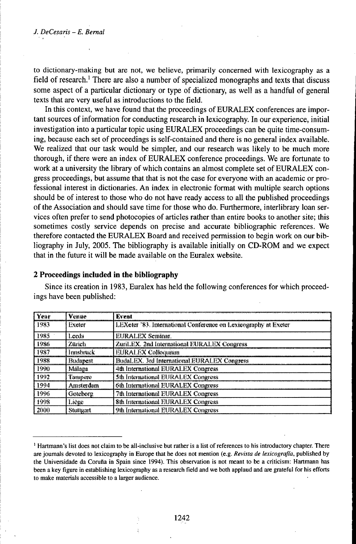to dictionary-making but are not, we believe, primarily concerned with lexicography as a field of research.<sup>1</sup> There are also a number of specialized monographs and texts that discuss some aspect of a particular dictionary or type of dictionary, as well as a handful of general texts that are very useful as introductions to the field.

In this context, we have found that the proceedings of EURALEX conferences are important sources of information for conducting research in lexicography. In our experience, initial investigation into a particular topic using EURALEX proceedings can be quite time-consuming, because each set of proceedings is self-contained and there is no general index available. We realized that our task would be simpler, and our research was likely to be much more thorough, if there were an index of EURALEX conference proceedings. We are fortunate to work at a university the library of which contains an almost complete set of EURALEX congress proceedings, but assume that that is not the case for everyone with an academic or professional interest in dictionaries. An index in electronic format with multiple search options should be of interest to those who do not have ready access to all the published proceedings of the Association and should save time for those who do. Furthermore, interlibrary loan services often prefer to send photocopies of articles rather than entire books to another site; this sometimes costly service depends on precise and accurate bibliographic references. We therefore contacted the EURALEX Board and received permission to begin work on our bibliography in July, 2005. The bibliography is available initially on CD-ROM and we expect that in the future it will be made available on the Euralex website.

#### Year Venue Event 1983 Excter LEXeter '83. International Conference on Lexicography at Exeter 1985 Leeds **EURALEX Seminar.** 1986 Zärich ZuriLEX. 2nd Internstional EURALEX Congress 1987 **Innshruck EURALEX Colloquium** 1988 **Budapest** BudaLEX. 3rd International EURALEX Congress 1990 Málaga 4th International EURALEX Congress 1992 Tampere 5th International EURALEX Congress 1994 Amsterdum 6th International EURALEX Congress 1996 Goteborg 7th International EURALEX Congress 1998 8th International EURALEX Congress Liège 9th International EURALEX Congress 2000 Stuttgart

2 Proceedings included in the bibliography

Since its creation in 1983, Euralex has held the following conferences for which proceedings have been published:

<sup>&</sup>lt;sup>1</sup> Hartmann's list does not claim to be all-inclusive but rather is a list of references to his introductory chapter. There are journals devoted to lexicography in Europe that he does not mention (e.g. Revista de lexicografía, published by the Universidade da Coruña in Spain since 1994). This observation is not meant to be a criticism: Hartmann has been a key figure in establishing lexicography as a research field and we both applaud and are grateful for his efforts to make materials accessible to a larger audience.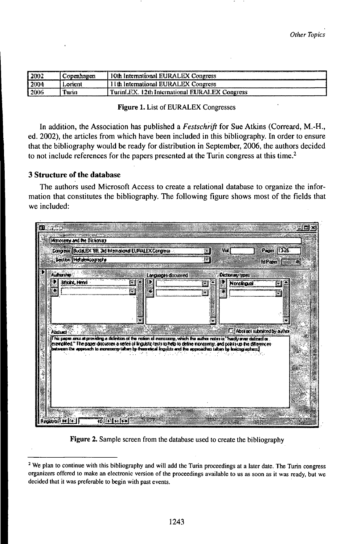| I 2002 | Copenhagen   | 10th International EURALEX Congress           |
|--------|--------------|-----------------------------------------------|
| 2004   | Lonent       | Uth International EURALEX Congress            |
| i 2006 | <b>Turin</b> | TurinLEX. 12th International EURALEX Congress |

#### Figure 1. List of EURALEX Congresses

In addition, the Association has published a Festschrift for Sue Atkins (Correard, M.-H., ed. 2002), the articles from which have been included in this bibliography. In order to ensure that the bibliography would be ready for distribution in September, 2006, the authors decided to not include references for the papers presented at the Turin congress at this time.<sup>2</sup>

#### 3 Structure of the database

The authors used Microsoft Access to create a relational database to organize the information that constitutes the bibliography. The following figure shows most of the fields that we included:

|                         | Compress BuddLEX 199, 2d International EUFALEX Congress -                                                                                                                                                                                                                                                                                                       | Wall<br>籤              | $P$ eger $  \mathcal{V}  $           |
|-------------------------|-----------------------------------------------------------------------------------------------------------------------------------------------------------------------------------------------------------------------------------------------------------------------------------------------------------------------------------------------------------------|------------------------|--------------------------------------|
| Section (Metabricagente |                                                                                                                                                                                                                                                                                                                                                                 | .F                     | MParen 5                             |
| <b>Auditarino</b>       | Larguaget distinted                                                                                                                                                                                                                                                                                                                                             | Octionary (ype)        |                                      |
| Bejoint, Hervi          | Ē.                                                                                                                                                                                                                                                                                                                                                              | <b>Norcingual</b><br>÷ | Ξ                                    |
|                         |                                                                                                                                                                                                                                                                                                                                                                 |                        | M                                    |
|                         |                                                                                                                                                                                                                                                                                                                                                                 |                        |                                      |
|                         |                                                                                                                                                                                                                                                                                                                                                                 |                        |                                      |
| Abstract                |                                                                                                                                                                                                                                                                                                                                                                 |                        | <b>IT Abstract automodity author</b> |
|                         | l his papes ence at providing a disfinition of the notion of monoconny, which the author notes in "hardbyanes distinant or<br>exemplied." The paper discusses a series of linguistic tests to help to delive monocerny, and points up the differences<br>butwern this approach to monocerny taken by fract shed linguists and the approaches taken by leaking e |                        |                                      |
|                         |                                                                                                                                                                                                                                                                                                                                                                 |                        |                                      |
|                         |                                                                                                                                                                                                                                                                                                                                                                 |                        |                                      |
|                         |                                                                                                                                                                                                                                                                                                                                                                 |                        |                                      |
|                         |                                                                                                                                                                                                                                                                                                                                                                 |                        |                                      |
|                         |                                                                                                                                                                                                                                                                                                                                                                 |                        |                                      |

Figure 2. Sample screen from the database used to create the bibliography

<sup>&</sup>lt;sup>2</sup> We plan to continue with this bibliography and will add the Turin proceedings at a later date. The Turin congress organizers offered to make an electronic version of the proceedings available to us as soon as it was ready, but we decided that it was preferable to begin with past events.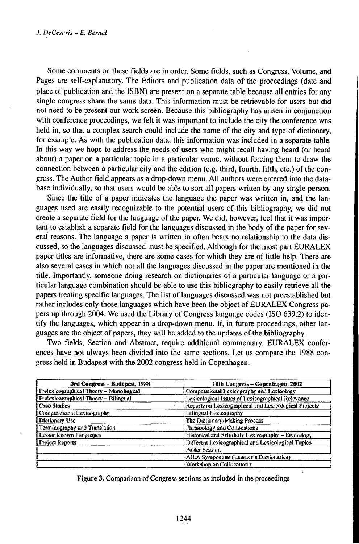Some comments on these fields are in order. Some fields, such as Congress, Volume, and Pages are self-explanatory. The Editors and publication data of the proceedings (date and place of publication and the ISBN) are present on a separate table because all entries for any single congress share the same data. This information must be retrievable for users but did not need to be present our work screen. Because this bibliography has arisen in conjunction with conference proceedings, we felt it was important to include the city the conference was held in, so that a complex search could include the name of the city and type of dictionary, for example. As with the publication data, this information was included in a separate table. In this way we hope to address the needs of users who might recall having heard (or heard about) a paper on a particular topic in a particular venue, without forcing them to draw the connection between a particular city and the edition (e.g. third, fourth, fifth, etc.) of the congress. The Author field appears as a drop-down menu. All authors were entered into the database individually, so that users would be able to sort all papers written by any single person.

Since the title of a paper indicates the language the paper was written in, and the languages used are easily recognizable to the potential users of this bibliography, we did not create a separate field for the language of the paper. We did, however, feel that it was important to establish a separate field for the languages discussed in the body of the paper for several reasons. The language a paper is written in often bears no relationship to the data discussed, so the languages discussed must be specified. Although for the most part EURALEX paper titles are informative, there are some cases for which they are of little help. There are also several cases in which not all the languages discussed in the paper are mentioned in the title. Importantly, someone doing research on dictionaries of a particular language or a particular language combination should be able to use this bibliography to easily retrieve all the papers treating specific languages. The list of languages discussed was not preestablished but rather includes only those languages which have been the object of EURALEX Congress papers up through 2004. We used the Library of Congress language codes (ISO 639.2) to identify the languages, which appear in a drop-down menu. If, in future proceedings, other languages are the object of papers, they will be added to the updates of the bibliography.

Two fields, Section and Abstract, require additional commentary. EURALEX conferences have not always been divided into the same sections. Let us compare the 1988 congress held in Budapest with the 2002 congress held in Copenhagen.

| 3rd Congress - Budapest, 1988           | 10th Congress - Copenhagen, 2002                      |
|-----------------------------------------|-------------------------------------------------------|
| Prelexicographical Theory - Monolingual | Computational Lexicography and Lexicology             |
| Prelexicographical Theory - Bilingual   | Lexicological Issues of Lexicographical Relevance     |
| Case Studies                            | Reports on Lexicographical and Lexicological Projects |
| Computational Lexicography              | Bilingual Lexicography                                |
| Dictionary Use                          | The Dictionary-Making Process                         |
| Terminography and Translation           | Phraspology and Collocations                          |
| Lesser Known Languages                  | Historical and Scholarly Lexicography - Etymology     |
| Project Reports                         | Different Lexicographical and Lexicological Topics    |
|                                         | Poster Session                                        |
|                                         | AILA Symposium (Learner's Dictionaries)               |
|                                         | Werkshop on Collocations                              |

Figure 3. Comparison of Congress sections as included in the proceedings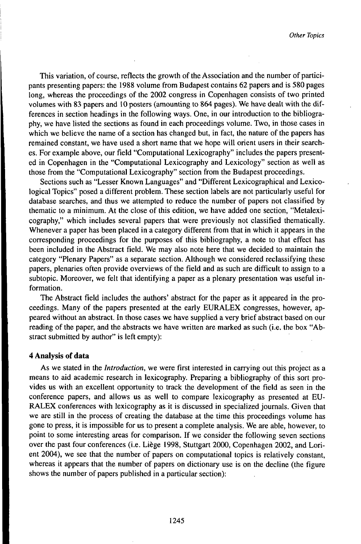This variation, of course, reflects the growth of the Association and the number of participants presenting papers: the 1988 volume from Budapest contains 62 papers and is 580 pages long, whereas the proceedings of the 2002 congress in Copenhagen consists of two printed volumes with 83 papers and 10 posters (amounting to 864 pages). We have dealt with the differences in section headings in the following ways. One, in our introduction to the bibliography, we have listed the sections as found in each proceedings volume. Two, in those cases in which we believe the name of a section has changed but, in fact, the nature of the papers has remained constant, we have used a short name that we hope will orient users in their searches. For example above, our field "Computational Lexicography" includes the papers presented in Copenhagen in the "Computational Lexicography and Lexicology" section as well as those from the "Computational Lexicography" section from the Budapest proceedings.

Sections such as "Lesser Known Languages" and "Different Lexicographical and Lexicological Topics" posed a different problem. These section labels are not particularly useful for database searches, and thus we attempted to reduce the number of papers not classified by thematic to a minimum. At the close of this edition, we have added one section, "Metalexicography," which includes several papers that were previously not classified thematically. Whenever a paper has been placed in a category different from that in which it appears in the corresponding proceedings for the purposes of this bibliography, a note to that effect has been included in the Abstract field. We may also note here that we decided to maintain the category "Plenary Papers" as a separate section. Although we considered reclassifying these papers, plenaries often provide overviews of the field and as such are difficult to assign to a subtopic. Moreover, we felt that identifying a paper as a plenary presentation was useful information.

The Abstract field includes the authors' abstract for the paper as it appeared in the proceedings. Many of the papers presented at the early EURALEX congresses, however, appeared without an abstract. In those cases we have supplied a very brief abstract based on our reading of the paper, and the abstracts we have written are marked as such (i.e. the box "Abstract submitted by author" is left empty):

#### **4 Analysis of data**

As we stated in the *Introduction,* we were first interested in carrying out this project as a means to aid academic research in lexicography. Preparing a bibliography of this sort provides us with an excellent opportunity to track the development of the field as seen in the conference papers, and allows us as well to compare lexicography as presented at EU-RALEX conferences with lexicography as it is discussed in specialized journals. Given that we are still in the process of creating the database at the time this proceedings volume has gone to press, it is impossible for us to present a complete analysis. We are able, however, to point to some interesting areas for comparison. If we consider the following seven sections over the past four conferences (i.e. Liège 1998, Stuttgart 2000, Copenhagen 2002, and Lorient 2004), we see that the number of papers on computational topics is relatively constant, whereas it appears that the number of papers on dictionary use is on the decline (the figure shows the number of papers published in a particular section):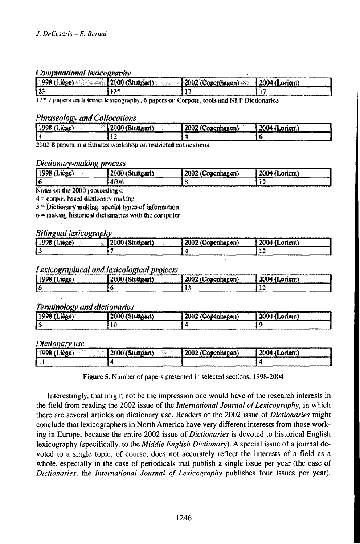#### Communitational lexicography

| <br>$\cdots$<br>…もううい ニ<br>1,998<br>idan in S<br>ini a membertallitasi 1<br>a tallitan " | ኅረረት                                                                                                             |
|------------------------------------------------------------------------------------------|------------------------------------------------------------------------------------------------------------------|
| าง                                                                                       | incontrationers attackables campaign de maa a recordidation de la procession sont en commencer de la commence de |

13\* 7 papers on Internet lexicography, 6 papers on Corpora, tools and NLP Dictionaries

#### **Phraseology and Collocations**

| ---<br><b>CONTRACTOR</b><br><b>Barnet</b><br>11008<br>100000<br>. 1<br>1 i v 2<br>------ | ALCOHOL: NOTE<br>--<br>$-$ and $\mathbf{\cdot}$ | <b>ALC: UNK</b><br><br>---- | $-1$<br>rimat<br>.<br>---------------- |
|------------------------------------------------------------------------------------------|-------------------------------------------------|-----------------------------|----------------------------------------|
|                                                                                          | -3<br>. .<br>-------------------                |                             |                                        |

2002 8 papers in a Euralex workshop on restricted collocations

#### Dictionary-making process

| ------<br>1998<br>160 E.<br>. | .toar '<br>auvu<br>- | ີ່ທີ່ຫ <b>ະຫາhaggn)</b><br>anna | Lorient) |
|-------------------------------|----------------------|---------------------------------|----------|
|                               | جرو وتخزر<br>91.NO   |                                 | . .      |

Notes on the 2000 proceedings:

4 = corpus-based dictionary making

 $3$  = Dictionary making: special types of information

 $6$  = making historical dictionaries with the computer

#### **Bilineual lexicoeraphy**

| 998<br>atore). | 2000 (Stuttgart) | $\overline{\phantom{a}}$<br>2002<br>(Conenhagen) | in 1980au 1980au 1990au 1990au 1990au 1990au 1990au 1990au 1990au 1990au 1990au 1990au 1990au 1990au 1990au 1<br>2004 (Lorient) |
|----------------|------------------|--------------------------------------------------|---------------------------------------------------------------------------------------------------------------------------------|
|                |                  |                                                  |                                                                                                                                 |

### Lexicographical and lexicological projects

| 1998 (Licae)    |                  | 2002 (Conenhagen) | <b>CONSIDERATION IN THE REPORT OF A 44 YO MALE AND RELEASED AT A 45 YO MALE AND RELEASED AT A 45 YO MALE AND RELEASED AT A</b> |
|-----------------|------------------|-------------------|--------------------------------------------------------------------------------------------------------------------------------|
| --------------- | 2000 (Stuttgart) |                   | 2004 (Lorient)                                                                                                                 |
| . .             |                  |                   |                                                                                                                                |

# **Terminology and dictionaries**

| -----<br>1002. | 2000<br>$-$ TO am . | 2002 (C | <b></b><br>----------------------------<br>- 400<br>2004<br>rient'<br>תו. |
|----------------|---------------------|---------|---------------------------------------------------------------------------|
| ------         | r<br>-----          |         |                                                                           |

Dictionary use

|         | -------<br>1.111<br><b>STATE</b><br><b>KOSSER</b><br>. | <b>Contract</b><br>። ጫናንድነም።<br>ren<br><b>COMPANY</b> | ərient' |
|---------|--------------------------------------------------------|-------------------------------------------------------|---------|
| _______ | -----------                                            |                                                       | .       |

Figure 5. Number of papers presented in selected sections, 1998-2004

Interestingly, that might not be the impression one would have of the research interests in the field from reading the 2002 issue of the *International Journal of Lexicography*, in which there are several articles on dictionary use. Readers of the 2002 issue of *Dictionaries* might conclude that lexicographers in North America have very different interests from those working in Europe, because the entire 2002 issue of *Dictionaries* is devoted to historical English lexicography (specifically, to the *Middle English Dictionary*). A special issue of a journal devoted to a single topic, of course, does not accurately reflect the interests of a field as a whole, especially in the case of periodicals that publish a single issue per year (the case of Dictionaries; the International Journal of Lexicography publishes four issues per year).